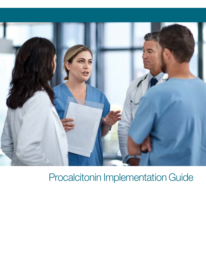

# Procalcitonin Implementation Guide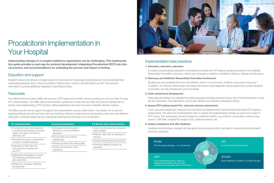Implementing changes in a complex healthcare organization can be challenging. This implementation guide provides a road map for protocol development, integrating Procalcitonin (PCT) into clinical practice, and recommendations for evaluating the process and impact of testing.

# Education and support

Research shows that behavior changes based on improving both knowledge and attitudes are more sustainable than manipulating behavior alone. Focus on practical "need to know" content, and then follow up with "nice to know" information or provide additional materials for self-directed study.

# **Resourses**

Your Medical Science Liaison (MSL) will serve as a PCT expert and scientific resource guiding you and your team through PCT implementation. Your MSL will provide education, guidance on order sets and help with protocol development to ensure a full understanding of PCT kinetics, clinical applications and how it can aid in antibiotic decision making.

- Grand rounds lecture by a physician guest speaker
- Webinar, video clips for learning on demand
- Repeat interdepartmental education
- Continuing literature support as requested

The MSLs provide clinical support throughout the implementation process (table below). Your facility will choose the teaching methods that will work best with your workflow. Options include instructor-led sessions which are most effective, along with, computer-based training, small group teaching and discussion, or a combination.

### Pre-implementation During Implementation 3-6 Months After Implementation

Studies have demonstrated that when the antibiotic advisor is a pharmacist, antibiotic consumption improves.<sup>1-3</sup> In addition, an Antibiotic Stewardship Committee that reviews rapid diagnostic testing results and provides feedback to providers can help clinicians act upon the results.

- Provide information and education to antibiotic stewardship committee, sepsis committee, ICU, ED, ID, pharmacy, lab
- Procalcitonin kinetics, interpretation of results, scientific evidence
- Examples of order sets and protocols from hospitals that use PCT
- Abbreviated bibliography of recent PCT literature sent electronically with active links
- References: hospitals, clinicians, lab personnel

- Interdepartmental education (Similar to pre-implementation education)
- Roving Q&A at all ordering
- departments
- Review and learn from case studies
- Pocket-size reference cards distribution

**STUDY** Study feedback to confirm or to adjust the plan



# Procalcitonin Implementation in Your Hospital

# Implementation best practices

### 1. Education, education, education

It is vital to provide tailored education to all clinicians involved with PCT testing including members of the Antibiotic Stewardship Committee, pharmacy, critical care, emergency medicine, hospitalists, infectious disease and laboratory.

### 2. Pharmacy and Antibiotic Stewardship Committee involvement

### 3. Order set/protocol development

Order sets standardize and expedite the ordering process and helps clinicians ensure that critical components of care are not overlooked. They also help to control test utilization and prevent unnecessary testing.

### 4. Assess PCT testing impact: Pre- and post outcome assessment

A pre- and post-assessment measures the occurrence of predetermined outcomes before and after PCT testing is implemented. This allows the implementation team to assess the implementation strategy as well as the impact of PCT testing. This assessment should be based on predefined metrics, e.g. antibiotic consumption, adverse drug events, C-diff rates, hospital/ICU length of stay, health economics, etc.

### 5. Assess compliance and offer feedback

Feedback and pharmacy oversight will help guide clinician practice which may lead to improved clinical and health economic outcomes.

 $\zeta$ 

### ACT

Act on knowledge gained, make any adjustments necessary, then plan the revisions and incorporate them in the roll out DO Do a test-run of the intervention

### PLAN

Plan the change strategy… on a small scale

**STUD<sup>Y</sup>**

**DO**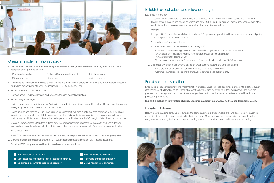

## Create an implementation strategy

• Recruit team members that are immediately affected by the change and who have the ability to influence others' reception of the protocol change

Physician leadership **Antibiotic Stewardship Committee Clinical pharmacy** Clinical laboratory Informatics Quality management

- Determine how the test will be used clinically: antibiotic stewardship, differential diagnosis (rule-out bacterial infection),
- Establish Alert and Critical Lab Values.
- Develop and/or update order sets and protocols for each patient population.

and which patient populations will be included (LRTI, COPD, sepsis, etc.)

- Establish a go-live target date.
- Define education plan and timeline for Antibiotic Stewardship Committee, Sepsis Committee, Critical Care Committee, Emergency Department, Pharmacy, Laboratory, etc.
- Define timeline and metrics for Pre / Post outcome assessment including duration of data collection, e.g. 4 months of baseline data prior to starting PCT, then collect 4 months of data after implementation has been completed. Define metrics, e.g. antibiotic consumption, adverse drug events, c-diff rates, hospital/ICU length of stay, health economic, etc.
- Create a Communication Plan that outlines how to communicate implementation details with end-users. Include go-live date, education dates, selected clinical applications, updates on order sets / protocol developments, etc.

#### Key steps to consider:

- 1. Add PCT as an order into EMR this must be done early in the process to ensure it's available when you go-live.
- 2. Develop onscreen prompts for ordering PCT, e.g. suspected bacterial infection, LRTI, sepsis, fever, etc.
- 3. Consider PCT as a pre-checked item for baseline and follow-up draws.
	- ✓ How will order be triggered? ✓ How will results be monitored?
	- ✓ Does test need to be repeated in a specific time frame? ✓ Is trending or tracking required?
	- ✓ Do standard documents need to be updated? ✓ Do we need custom elements?
- 
- -

## Establish critical values and reference ranges

Key steps to consider:

1. Discuss whether to establish critical values and reference ranges. There is not one specific cut-off for PCT. The cut-offs are determined based on where and how PCT is used (ED, surgery, monitoring, neonatology, etc.). In addition, a trend can provide more information than one absolute value.

#### Example:

- 1. Repeat 6-12 hours after initial draw if baseline <0.25 (or another pre-defined low value per your hospital policy) and suspicion of infection is present.
- 2. Draw Q am x2 to monitor trend.
- 3. Determine who will be responsible for following PCT.
- For clinical decision making: Intensivist/hospitalist/ED physician and/or clinical pharmacists - For antibiotic de-escalation: Intensivist/hospitalist and/or clinical pharmacist
- From a quality standpoint: QI/QA
- Who will monitor for spending/cost savings: Pharmacy for de-escalation, QI/QA for sepsis
- 2. Customize any additional elements based on organizational factors and potential barriers.
	- Are there any other labs that can be eliminated from current work-up?
	- After implementation, track if there are fewer orders for blood cultures, etc.

## Feedback and evaluation

Encourage feedback throughout the implementation process. Once PCT has been incorporated into practice, survey staff members at all levels and ask them what went well, what didn't go well from their perspective, and how the process could be improved next time. Share what you learn with other implementation teams to facilitate future process improvements.

Support a culture of information sharing. Learn from others' experience, as they can learn from yours.

### Long-term follow-up

Return to your baseline data. Collect data on the same parameters and compare pre- and post-implementation to determine if you met the goals described in the initial phase. Celebrate your successes! Bring the team together to analyze where you might fall short to explore revising your implementation plan to address any shortcomings.

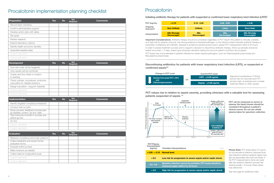Discontinuing antibiotics for patients with lower respiratory tract infection (LRTI), or suspected or confirmed sepsis<sup>5,6</sup>

Important Considerations: Antibiotic therapy should be considered regardless of PCT result if the patient is clinically unstable, is at high risk for adverse outcome, has strong evidence of bacterial pathogen, or the clinical context indicates antibiotic therapy is warranted. If antibiotics are withheld, reassess if symptoms persist/worsen and/or repeat PCT measurement within 6-24 hours. In order to assess treatment success and to support a decision to discontinue antibiotic therapy, follow up samples should be tested once every 1-2 days, based upon physician discretion taking into account patient's evolution and progress. PCT levels may not be elevated in patients infected by certain atypical pathogens, such as Chlamydophila pneumoniae and Mycoplasma pneumoniae.



Please Note: PCT levels below 0.5 ng/mL do not exclude an infection, because localized infections (without systemic signs) may also be associated with such low levels. If the PCT measurement is done very early after the systemic infection process has started (usually < 6 hours), these values may still be low.

Important Considerations: If clinical picture has not improved and PCT remains high, re-evaluate and consider treatment failure or other causes.

| PCT (ng/mL)           | < 0.10                                    | $0.10 - 0.25$                    |
|-----------------------|-------------------------------------------|----------------------------------|
| Ongoing<br>Infection? | <b>Very Unlikely</b>                      | <b>Unlikely</b>                  |
| Interpretation        | <b>ABx Strongly</b><br><b>Discouraged</b> | <b>ABx</b><br><b>Discouraged</b> |



# LRTI  $\leq 0.25$  ng/mL

PCT can be measured on serum or plasma; the liquid chosen should be consistent throughout a patient's clinical course. Do not use citrate plasma tubes for specimen collection.

*See next page for additional notes.*

PCT values rise in relation to sepsis severity, providing clinicians with a valuable tool for assessing patients suspected of sepsis.7-9



# Procalcitonin implementation planning checklist

| Preparation                       | <b>Yes</b> | <b>No</b> | <b>Not</b><br>Required | <b>Comments</b> |
|-----------------------------------|------------|-----------|------------------------|-----------------|
| Recruit team members              |            |           |                        |                 |
| Confirm administrative support    |            |           |                        |                 |
| Develop action plan with dates    |            |           |                        |                 |
| Set goals                         |            |           |                        |                 |
| Review research                   |            |           |                        |                 |
| Explore laboratory options        |            |           |                        |                 |
| Identify health economic benefits |            |           |                        |                 |
| Assemble baseline data            |            |           |                        |                 |
| Custom elements                   |            |           |                        |                 |
| Custom elements                   |            |           |                        |                 |

| <b>Development</b>                                                        | <b>Yes</b> | <b>No</b> | <b>Not</b><br>Required | <b>Comments</b> |
|---------------------------------------------------------------------------|------------|-----------|------------------------|-----------------|
| How test order will be triggered                                          |            |           |                        |                 |
| How results will be monitored                                             |            |           |                        |                 |
| Create new flow sheet or revision<br>to existing                          |            |           |                        |                 |
| Check policies, procedures, protocols,<br>care paths for needed revisions |            |           |                        |                 |
| Design education / support materials                                      |            |           |                        |                 |
| Custom elements                                                           |            |           |                        |                 |
| Custom elements                                                           |            |           |                        |                 |

| Implementation                                                             | <b>Yes</b> | <b>No</b> | <b>Not</b><br>Required | <b>Comments</b> |
|----------------------------------------------------------------------------|------------|-----------|------------------------|-----------------|
| Identify targeted compliance threshold                                     |            |           |                        |                 |
| Conduct trial run pilot                                                    |            |           |                        |                 |
| Study process, feedback & revise plan<br>as needed; confirm "go-live" date |            |           |                        |                 |
| Train everyone involved in process just<br>before go-live                  |            |           |                        |                 |
| Go-live                                                                    |            |           |                        |                 |
| Custom elements                                                            |            |           |                        |                 |
| Custom elements                                                            |            |           |                        |                 |

| <b>Evaluation</b>                                      | <b>Yes</b> | <b>No</b> | <b>Not</b><br><b>Required</b> | <b>Comments</b> |
|--------------------------------------------------------|------------|-----------|-------------------------------|-----------------|
| Measure compliance and order patterns                  |            |           |                               |                 |
| Collect feedback and review formal<br>evaluation forms |            |           |                               |                 |
| Evaluate entire process                                |            |           |                               |                 |
| Make revisions as needed                               |            |           |                               |                 |
| Collect data for longitudinal study                    |            |           |                               |                 |
| Custom elements                                        |            |           |                               |                 |
| Custom elements                                        |            |           |                               |                 |

# **Procalcitonin**

Initiating antibiotic therapy for patients with suspected or confirmed lower respiratory tract infection (LRTI)<sup>4</sup>